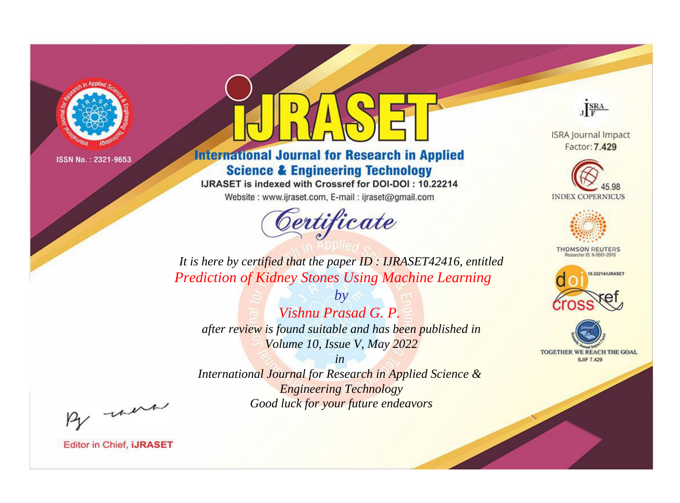

# **International Journal for Research in Applied Science & Engineering Technology**

IJRASET is indexed with Crossref for DOI-DOI: 10.22214

Website: www.ijraset.com, E-mail: ijraset@gmail.com



JERA

**ISRA Journal Impact** Factor: 7.429





**THOMSON REUTERS** 



TOGETHER WE REACH THE GOAL **SJIF 7.429** 

*It is here by certified that the paper ID : IJRASET42416, entitled Prediction of Kidney Stones Using Machine Learning*

*by Vishnu Prasad G. P. after review is found suitable and has been published in Volume 10, Issue V, May 2022*

*in* 

*International Journal for Research in Applied Science & Engineering Technology Good luck for your future endeavors*

By morn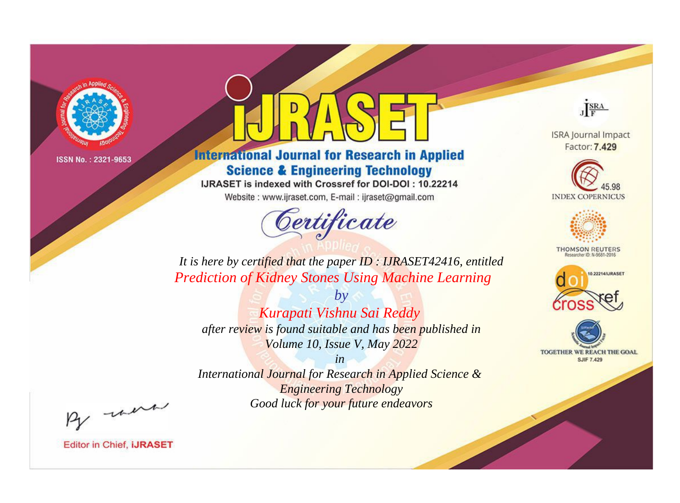

# **International Journal for Research in Applied Science & Engineering Technology**

IJRASET is indexed with Crossref for DOI-DOI: 10.22214

Website: www.ijraset.com, E-mail: ijraset@gmail.com



JERA

**ISRA Journal Impact** Factor: 7.429





**THOMSON REUTERS** 



TOGETHER WE REACH THE GOAL **SJIF 7.429** 

*It is here by certified that the paper ID : IJRASET42416, entitled Prediction of Kidney Stones Using Machine Learning*

*by Kurapati Vishnu Sai Reddy after review is found suitable and has been published in Volume 10, Issue V, May 2022*

*in* 

*International Journal for Research in Applied Science & Engineering Technology Good luck for your future endeavors*

By morn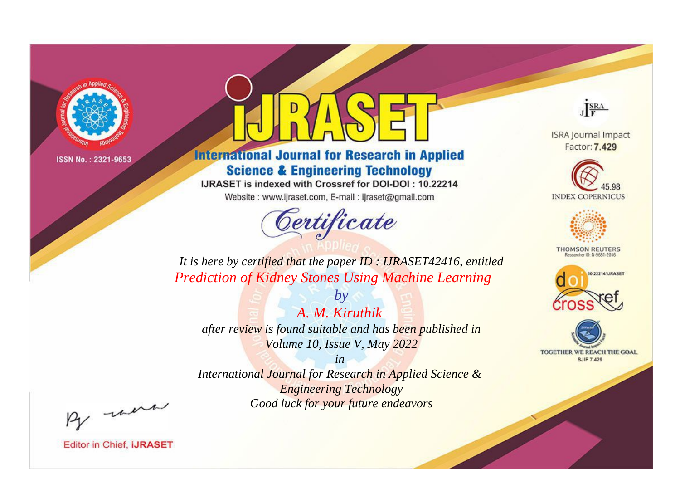

# **International Journal for Research in Applied Science & Engineering Technology**

IJRASET is indexed with Crossref for DOI-DOI: 10.22214

Website: www.ijraset.com, E-mail: ijraset@gmail.com



JERA

**ISRA Journal Impact** Factor: 7.429





**THOMSON REUTERS** 



TOGETHER WE REACH THE GOAL **SJIF 7.429** 

*It is here by certified that the paper ID : IJRASET42416, entitled Prediction of Kidney Stones Using Machine Learning*

*by A. M. Kiruthik after review is found suitable and has been published in Volume 10, Issue V, May 2022*

*in* 

*International Journal for Research in Applied Science & Engineering Technology Good luck for your future endeavors*

By morn